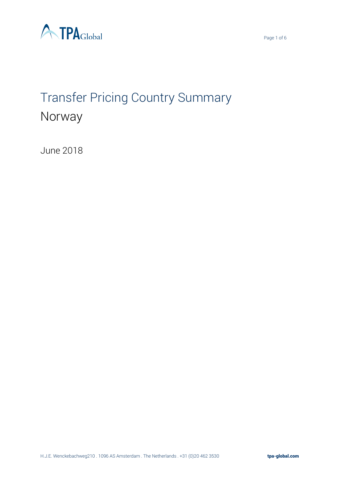



# Transfer Pricing Country Summary Norway

June 2018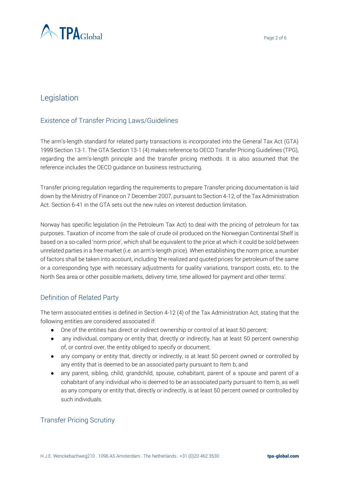

# Legislation

## Existence of Transfer Pricing Laws/Guidelines

The arm's-length standard for related party transactions is incorporated into the General Tax Act (GTA) 1999 Section 13-1. The GTA Section 13-1 (4) makes reference to OECD Transfer Pricing Guidelines (TPG), regarding the arm's-length principle and the transfer pricing methods. It is also assumed that the reference includes the OECD guidance on business restructuring.

Transfer pricing regulation regarding the requirements to prepare Transfer pricing documentation is laid down by the Ministry of Finance on 7 December 2007, pursuant to Section 4-12, of the Tax Administration Act. Section 6-41 in the GTA sets out the new rules on interest deduction limitation.

Norway has specific legislation (in the Petroleum Tax Act) to deal with the pricing of petroleum for tax purposes. Taxation of income from the sale of crude oil produced on the Norwegian Continental Shelf is based on a so-called 'norm price', which shall be equivalent to the price at which it could be sold between unrelated parties in a free market (i.e. an arm's-length price). When establishing the norm price, a number of factors shall be taken into account, including 'the realized and quoted prices for petroleum of the same or a corresponding type with necessary adjustments for quality variations, transport costs, etc. to the North Sea area or other possible markets, delivery time, time allowed for payment and other terms'.

#### Definition of Related Party

The term associated entities is defined in Section 4-12 (4) of the Tax Administration Act, stating that the following entities are considered associated if:

- One of the entities has direct or indirect ownership or control of at least 50 percent;
- any individual, company or entity that, directly or indirectly, has at least 50 percent ownership of, or control over, the entity obliged to specify or document;
- any company or entity that, directly or indirectly, is at least 50 percent owned or controlled by any entity that is deemed to be an associated party pursuant to Item b; and
- any parent, sibling, child, grandchild, spouse, cohabitant, parent of a spouse and parent of a cohabitant of any individual who is deemed to be an associated party pursuant to Item b, as well as any company or entity that, directly or indirectly, is at least 50 percent owned or controlled by such individuals.

#### Transfer Pricing Scrutiny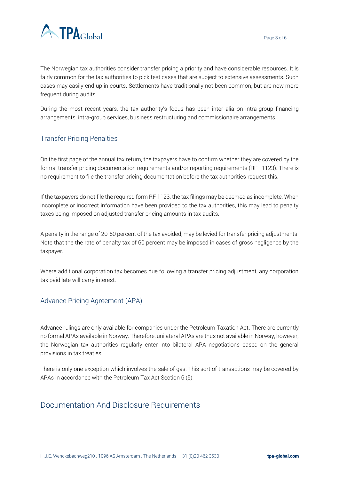

The Norwegian tax authorities consider transfer pricing a priority and have considerable resources. It is fairly common for the tax authorities to pick test cases that are subject to extensive assessments. Such cases may easily end up in courts. Settlements have traditionally not been common, but are now more frequent during audits.

During the most recent years, the tax authority's focus has been inter alia on intra-group financing arrangements, intra-group services, business restructuring and commissionaire arrangements.

## Transfer Pricing Penalties

On the first page of the annual tax return, the taxpayers have to confirm whether they are covered by the formal transfer pricing documentation requirements and/or reporting requirements (RF–1123). There is no requirement to file the transfer pricing documentation before the tax authorities request this.

If the taxpayers do not file the required form RF 1123, the tax filings may be deemed as incomplete. When incomplete or incorrect information have been provided to the tax authorities, this may lead to penalty taxes being imposed on adjusted transfer pricing amounts in tax audits.

A penalty in the range of 20-60 percent of the tax avoided, may be levied for transfer pricing adjustments. Note that the the rate of penalty tax of 60 percent may be imposed in cases of gross negligence by the taxpayer.

Where additional corporation tax becomes due following a transfer pricing adjustment, any corporation tax paid late will carry interest.

#### Advance Pricing Agreement (APA)

Advance rulings are only available for companies under the Petroleum Taxation Act. There are currently no formal APAs available in Norway. Therefore, unilateral APAs are thus not available in Norway, however, the Norwegian tax authorities regularly enter into bilateral APA negotiations based on the general provisions in tax treaties.

There is only one exception which involves the sale of gas. This sort of transactions may be covered by APAs in accordance with the Petroleum Tax Act Section 6 (5).

# Documentation And Disclosure Requirements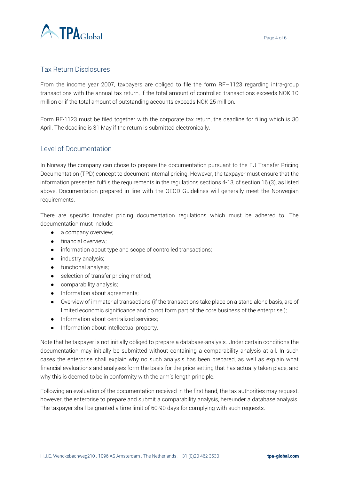

#### Tax Return Disclosures

From the income year 2007, taxpayers are obliged to file the form RF–1123 regarding intra-group transactions with the annual tax return, if the total amount of controlled transactions exceeds NOK 10 million or if the total amount of outstanding accounts exceeds NOK 25 million.

Form RF-1123 must be filed together with the corporate tax return, the deadline for filing which is 30 April. The deadline is 31 May if the return is submitted electronically.

#### Level of Documentation

In Norway the company can chose to prepare the documentation pursuant to the EU Transfer Pricing Documentation (TPD) concept to document internal pricing. However, the taxpayer must ensure that the information presented fulfils the requirements in the regulations sections 4-13, cf section 16 (3), as listed above. Documentation prepared in line with the OECD Guidelines will generally meet the Norwegian requirements.

There are specific transfer pricing documentation regulations which must be adhered to. The documentation must include:

- a company overview;
- **•** financial overview:
- information about type and scope of controlled transactions;
- industry analysis;
- functional analysis;
- selection of transfer pricing method;
- comparability analysis;
- Information about agreements;
- Overview of immaterial transactions (if the transactions take place on a stand alone basis, are of limited economic significance and do not form part of the core business of the enterprise.);
- Information about centralized services;
- Information about intellectual property.

Note that he taxpayer is not initially obliged to prepare a database-analysis. Under certain conditions the documentation may initially be submitted without containing a comparability analysis at all. In such cases the enterprise shall explain why no such analysis has been prepared, as well as explain what financial evaluations and analyses form the basis for the price setting that has actually taken place, and why this is deemed to be in conformity with the arm's length principle.

Following an evaluation of the documentation received in the first hand, the tax authorities may request, however, the enterprise to prepare and submit a comparability analysis, hereunder a database analysis. The taxpayer shall be granted a time limit of 60-90 days for complying with such requests.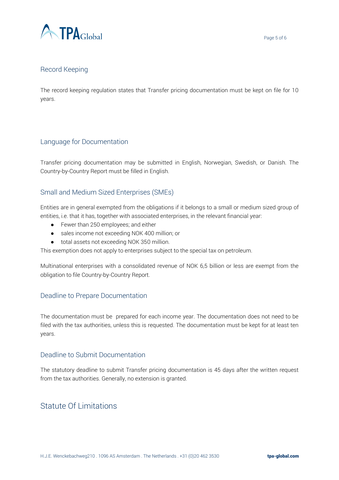

#### Record Keeping

The record keeping regulation states that Transfer pricing documentation must be kept on file for 10 years.

#### Language for Documentation

Transfer pricing documentation may be submitted in English, Norwegian, Swedish, or Danish. The Country-by-Country Report must be filled in English.

#### Small and Medium Sized Enterprises (SMEs)

Entities are in general exempted from the obligations if it belongs to a small or medium sized group of entities, i.e. that it has, together with associated enterprises, in the relevant financial year:

- Fewer than 250 employees; and either
- sales income not exceeding NOK 400 million; or
- total assets not exceeding NOK 350 million.

This exemption does not apply to enterprises subject to the special tax on petroleum.

Multinational enterprises with a consolidated revenue of NOK 6,5 billion or less are exempt from the obligation to file Country-by-Country Report.

#### Deadline to Prepare Documentation

The documentation must be prepared for each income year. The documentation does not need to be filed with the tax authorities, unless this is requested. The documentation must be kept for at least ten years.

#### Deadline to Submit Documentation

The statutory deadline to submit Transfer pricing documentation is 45 days after the written request from the tax authorities. Generally, no extension is granted.

# Statute Of Limitations